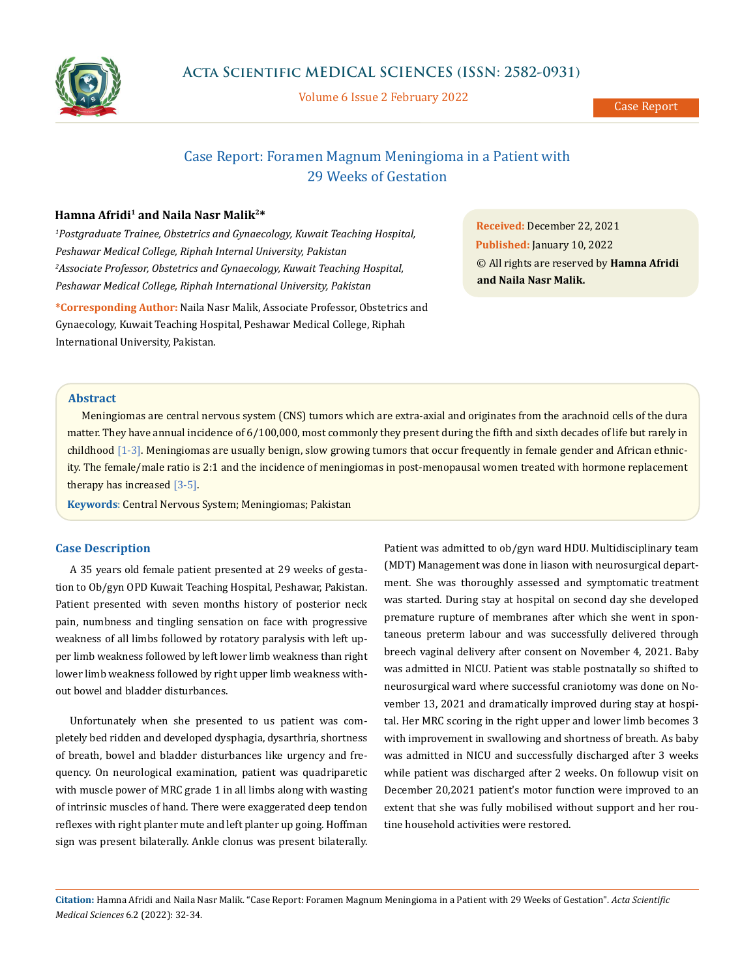

Volume 6 Issue 2 February 2022

Case Report

# Case Report: Foramen Magnum Meningioma in a Patient with 29 Weeks of Gestation

## **Hamna Afridi1 and Naila Nasr Malik2\***

*1 Postgraduate Trainee, Obstetrics and Gynaecology, Kuwait Teaching Hospital, Peshawar Medical College, Riphah Internal University, Pakistan 2 Associate Professor, Obstetrics and Gynaecology, Kuwait Teaching Hospital, Peshawar Medical College, Riphah International University, Pakistan*

**\*Corresponding Author:** Naila Nasr Malik, Associate Professor, Obstetrics and Gynaecology, Kuwait Teaching Hospital, Peshawar Medical College, Riphah International University, Pakistan.

**Received:** December 22, 2021 **Published:** January 10, 2022 © All rights are reserved by **Hamna Afridi and Naila Nasr Malik.**

# **Abstract**

Meningiomas are central nervous system (CNS) tumors which are extra-axial and originates from the arachnoid cells of the dura matter. They have annual incidence of 6/100,000, most commonly they present during the fifth and sixth decades of life but rarely in childhood [1-3]. Meningiomas are usually benign, slow growing tumors that occur frequently in female gender and African ethnicity. The female/male ratio is 2:1 and the incidence of meningiomas in post-menopausal women treated with hormone replacement therapy has increased [3-5].

**Keywords**: Central Nervous System; Meningiomas; Pakistan

# **Case Description**

A 35 years old female patient presented at 29 weeks of gestation to Ob/gyn OPD Kuwait Teaching Hospital, Peshawar, Pakistan. Patient presented with seven months history of posterior neck pain, numbness and tingling sensation on face with progressive weakness of all limbs followed by rotatory paralysis with left upper limb weakness followed by left lower limb weakness than right lower limb weakness followed by right upper limb weakness without bowel and bladder disturbances.

Unfortunately when she presented to us patient was completely bed ridden and developed dysphagia, dysarthria, shortness of breath, bowel and bladder disturbances like urgency and frequency. On neurological examination, patient was quadriparetic with muscle power of MRC grade 1 in all limbs along with wasting of intrinsic muscles of hand. There were exaggerated deep tendon reflexes with right planter mute and left planter up going. Hoffman sign was present bilaterally. Ankle clonus was present bilaterally.

Patient was admitted to ob/gyn ward HDU. Multidisciplinary team (MDT) Management was done in liason with neurosurgical department. She was thoroughly assessed and symptomatic treatment was started. During stay at hospital on second day she developed premature rupture of membranes after which she went in spontaneous preterm labour and was successfully delivered through breech vaginal delivery after consent on November 4, 2021. Baby was admitted in NICU. Patient was stable postnatally so shifted to neurosurgical ward where successful craniotomy was done on November 13, 2021 and dramatically improved during stay at hospital. Her MRC scoring in the right upper and lower limb becomes 3 with improvement in swallowing and shortness of breath. As baby was admitted in NICU and successfully discharged after 3 weeks while patient was discharged after 2 weeks. On followup visit on December 20,2021 patient's motor function were improved to an extent that she was fully mobilised without support and her routine household activities were restored.

**Citation:** Hamna Afridi and Naila Nasr Malik*.* "Case Report: Foramen Magnum Meningioma in a Patient with 29 Weeks of Gestation". *Acta Scientific Medical Sciences* 6.2 (2022): 32-34.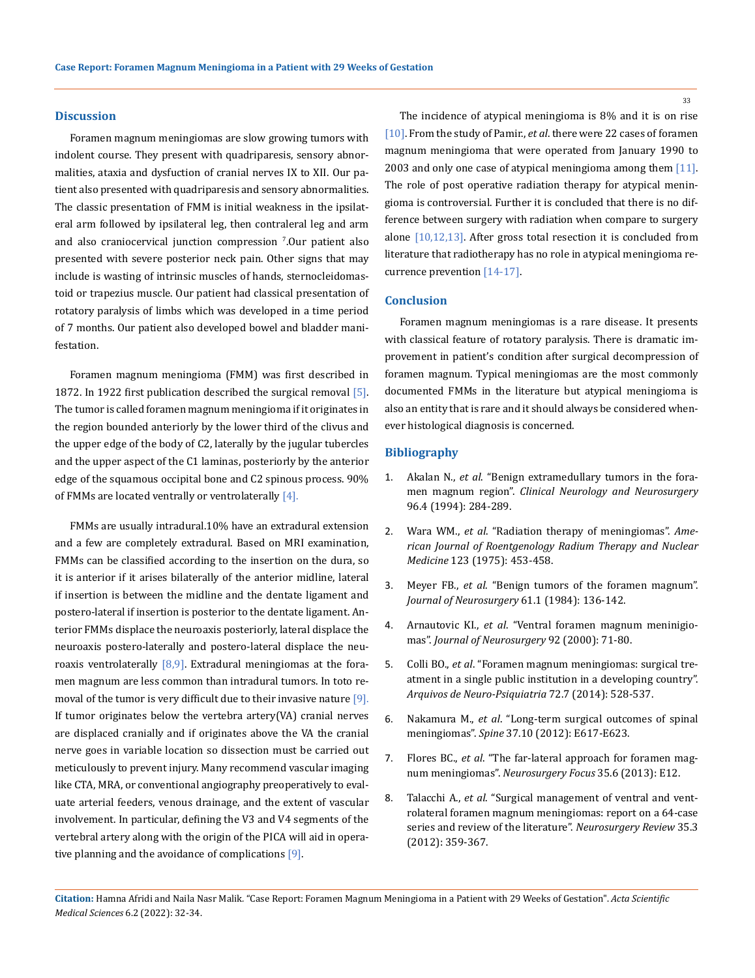#### **Discussion**

Foramen magnum meningiomas are slow growing tumors with indolent course. They present with quadriparesis, sensory abnormalities, ataxia and dysfuction of cranial nerves IX to XII. Our patient also presented with quadriparesis and sensory abnormalities. The classic presentation of FMM is initial weakness in the ipsilateral arm followed by ipsilateral leg, then contraleral leg and arm and also craniocervical junction compression <sup>7</sup> .Our patient also presented with severe posterior neck pain. Other signs that may include is wasting of intrinsic muscles of hands, sternocleidomastoid or trapezius muscle. Our patient had classical presentation of rotatory paralysis of limbs which was developed in a time period of 7 months. Our patient also developed bowel and bladder manifestation.

Foramen magnum meningioma (FMM) was first described in 1872. In 1922 first publication described the surgical removal [5]. The tumor is called foramen magnum meningioma if it originates in the region bounded anteriorly by the lower third of the clivus and the upper edge of the body of C2, laterally by the jugular tubercles and the upper aspect of the C1 laminas, posteriorly by the anterior edge of the squamous occipital bone and C2 spinous process. 90% of FMMs are located ventrally or ventrolaterally  $[4]$ .

FMMs are usually intradural.10% have an extradural extension and a few are completely extradural. Based on MRI examination, FMMs can be classified according to the insertion on the dura, so it is anterior if it arises bilaterally of the anterior midline, lateral if insertion is between the midline and the dentate ligament and postero-lateral if insertion is posterior to the dentate ligament. Anterior FMMs displace the neuroaxis posteriorly, lateral displace the neuroaxis postero-laterally and postero-lateral displace the neuroaxis ventrolaterally  $[8,9]$ . Extradural meningiomas at the foramen magnum are less common than intradural tumors. In toto removal of the tumor is very difficult due to their invasive nature  $[9]$ . If tumor originates below the vertebra artery(VA) cranial nerves are displaced cranially and if originates above the VA the cranial nerve goes in variable location so dissection must be carried out meticulously to prevent injury. Many recommend vascular imaging like CTA, MRA, or conventional angiography preoperatively to evaluate arterial feeders, venous drainage, and the extent of vascular involvement. In particular, defining the V3 and V4 segments of the vertebral artery along with the origin of the PICA will aid in operative planning and the avoidance of complications [9].

The incidence of atypical meningioma is 8% and it is on rise [10]. From the study of Pamir., *et al*. there were 22 cases of foramen magnum meningioma that were operated from January 1990 to 2003 and only one case of atypical meningioma among them  $[11]$ . The role of post operative radiation therapy for atypical meningioma is controversial. Further it is concluded that there is no difference between surgery with radiation when compare to surgery alone [10,12,13]. After gross total resection it is concluded from literature that radiotherapy has no role in atypical meningioma recurrence prevention [14-17].

## **Conclusion**

Foramen magnum meningiomas is a rare disease. It presents with classical feature of rotatory paralysis. There is dramatic improvement in patient's condition after surgical decompression of foramen magnum. Typical meningiomas are the most commonly documented FMMs in the literature but atypical meningioma is also an entity that is rare and it should always be considered whenever histological diagnosis is concerned.

### **Bibliography**

- 1. Akalan N., *et al*[. "Benign extramedullary tumors in the fora](https://nimhans.ac.in/wp-content/uploads/2020/10/7.-Benign-Extramedullary-Foramen-Magnum-Tumours_49-54.pdf)men magnum region". *[Clinical Neurology and Neurosurgery](https://nimhans.ac.in/wp-content/uploads/2020/10/7.-Benign-Extramedullary-Foramen-Magnum-Tumours_49-54.pdf)*  [96.4 \(1994\): 284-289.](https://nimhans.ac.in/wp-content/uploads/2020/10/7.-Benign-Extramedullary-Foramen-Magnum-Tumours_49-54.pdf)
- 2. Wara WM., *et al*[. "Radiation therapy of meningiomas".](https://www.ajronline.org/doi/pdf/10.2214/ajr.123.3.453) *Ame[rican Journal of Roentgenology Radium Therapy and Nuclear](https://www.ajronline.org/doi/pdf/10.2214/ajr.123.3.453)  Medicine* [123 \(1975\): 453-458.](https://www.ajronline.org/doi/pdf/10.2214/ajr.123.3.453)
- 3. Meyer FB., *et al*[. "Benign tumors of the foramen magnum".](https://pubmed.ncbi.nlm.nih.gov/6726388/)  *[Journal of Neurosurgery](https://pubmed.ncbi.nlm.nih.gov/6726388/)* 61.1 (1984): 136-142.
- 4. Arnautovic KI., *et al*[. "Ventral foramen magnum meninigio](https://pubmed.ncbi.nlm.nih.gov/10616061/)mas". *[Journal of Neurosurgery](https://pubmed.ncbi.nlm.nih.gov/10616061/)* 92 (2000): 71-80.
- 5. Colli BO., *et al*[. "Foramen magnum meningiomas: surgical tre](https://pubmed.ncbi.nlm.nih.gov/25054986/)[atment in a single public institution in a developing country".](https://pubmed.ncbi.nlm.nih.gov/25054986/)  *[Arquivos de Neuro-Psiquiatria](https://pubmed.ncbi.nlm.nih.gov/25054986/)* 72.7 (2014): 528-537.
- 6. Nakamura M., *et al*[. "Long-term surgical outcomes of spinal](https://pubmed.ncbi.nlm.nih.gov/22146282/)  meningiomas". *Spine* [37.10 \(2012\): E617-E623.](https://pubmed.ncbi.nlm.nih.gov/22146282/)
- 7. Flores BC., *et al*[. "The far-lateral approach for foramen mag](https://thejns.org/focus/view/journals/neurosurg-focus/35/6/article-pE12.xml)num meningiomas". *[Neurosurgery Focus](https://thejns.org/focus/view/journals/neurosurg-focus/35/6/article-pE12.xml)* 35.6 (2013): E12.
- 8. Talacchi A., *et al*[. "Surgical management of ventral and vent](https://pubmed.ncbi.nlm.nih.gov/22430127/)[rolateral foramen magnum meningiomas: report on a 64-case](https://pubmed.ncbi.nlm.nih.gov/22430127/)  [series and review of the literature".](https://pubmed.ncbi.nlm.nih.gov/22430127/) *Neurosurgery Review* 35.3 [\(2012\): 359-367.](https://pubmed.ncbi.nlm.nih.gov/22430127/)

33

**Citation:** Hamna Afridi and Naila Nasr Malik*.* "Case Report: Foramen Magnum Meningioma in a Patient with 29 Weeks of Gestation". *Acta Scientific Medical Sciences* 6.2 (2022): 32-34.